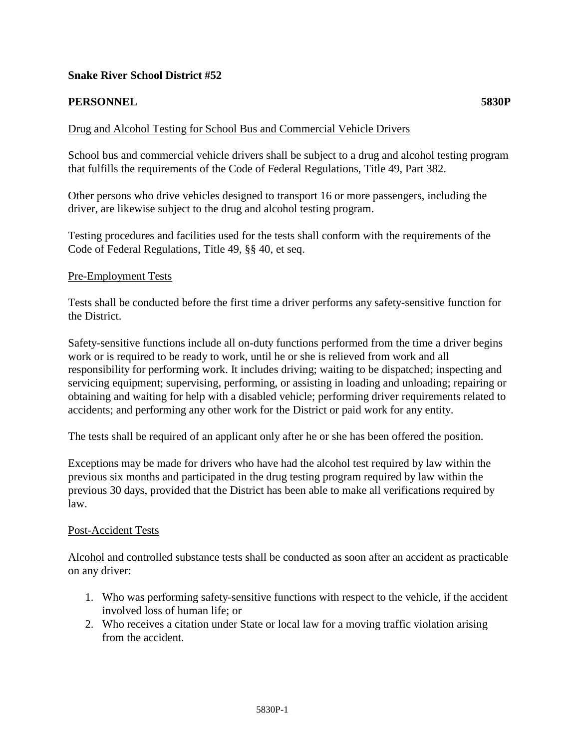## **Snake River School District #52**

# **PERSONNEL 5830P**

# Drug and Alcohol Testing for School Bus and Commercial Vehicle Drivers

School bus and commercial vehicle drivers shall be subject to a drug and alcohol testing program that fulfills the requirements of the Code of Federal Regulations, Title 49, Part 382.

Other persons who drive vehicles designed to transport 16 or more passengers, including the driver, are likewise subject to the drug and alcohol testing program.

Testing procedures and facilities used for the tests shall conform with the requirements of the Code of Federal Regulations, Title 49, §§ 40, et seq.

#### Pre-Employment Tests

Tests shall be conducted before the first time a driver performs any safety-sensitive function for the District.

Safety-sensitive functions include all on-duty functions performed from the time a driver begins work or is required to be ready to work, until he or she is relieved from work and all responsibility for performing work. It includes driving; waiting to be dispatched; inspecting and servicing equipment; supervising, performing, or assisting in loading and unloading; repairing or obtaining and waiting for help with a disabled vehicle; performing driver requirements related to accidents; and performing any other work for the District or paid work for any entity.

The tests shall be required of an applicant only after he or she has been offered the position.

Exceptions may be made for drivers who have had the alcohol test required by law within the previous six months and participated in the drug testing program required by law within the previous 30 days, provided that the District has been able to make all verifications required by law.

#### Post-Accident Tests

Alcohol and controlled substance tests shall be conducted as soon after an accident as practicable on any driver:

- 1. Who was performing safety-sensitive functions with respect to the vehicle, if the accident involved loss of human life; or
- 2. Who receives a citation under State or local law for a moving traffic violation arising from the accident.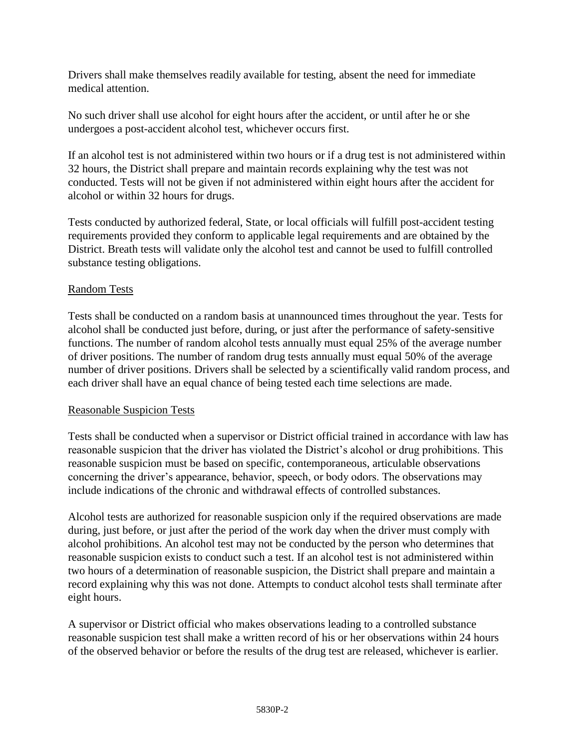Drivers shall make themselves readily available for testing, absent the need for immediate medical attention.

No such driver shall use alcohol for eight hours after the accident, or until after he or she undergoes a post-accident alcohol test, whichever occurs first.

If an alcohol test is not administered within two hours or if a drug test is not administered within 32 hours, the District shall prepare and maintain records explaining why the test was not conducted. Tests will not be given if not administered within eight hours after the accident for alcohol or within 32 hours for drugs.

Tests conducted by authorized federal, State, or local officials will fulfill post-accident testing requirements provided they conform to applicable legal requirements and are obtained by the District. Breath tests will validate only the alcohol test and cannot be used to fulfill controlled substance testing obligations.

## Random Tests

Tests shall be conducted on a random basis at unannounced times throughout the year. Tests for alcohol shall be conducted just before, during, or just after the performance of safety-sensitive functions. The number of random alcohol tests annually must equal 25% of the average number of driver positions. The number of random drug tests annually must equal 50% of the average number of driver positions. Drivers shall be selected by a scientifically valid random process, and each driver shall have an equal chance of being tested each time selections are made.

## Reasonable Suspicion Tests

Tests shall be conducted when a supervisor or District official trained in accordance with law has reasonable suspicion that the driver has violated the District's alcohol or drug prohibitions. This reasonable suspicion must be based on specific, contemporaneous, articulable observations concerning the driver's appearance, behavior, speech, or body odors. The observations may include indications of the chronic and withdrawal effects of controlled substances.

Alcohol tests are authorized for reasonable suspicion only if the required observations are made during, just before, or just after the period of the work day when the driver must comply with alcohol prohibitions. An alcohol test may not be conducted by the person who determines that reasonable suspicion exists to conduct such a test. If an alcohol test is not administered within two hours of a determination of reasonable suspicion, the District shall prepare and maintain a record explaining why this was not done. Attempts to conduct alcohol tests shall terminate after eight hours.

A supervisor or District official who makes observations leading to a controlled substance reasonable suspicion test shall make a written record of his or her observations within 24 hours of the observed behavior or before the results of the drug test are released, whichever is earlier.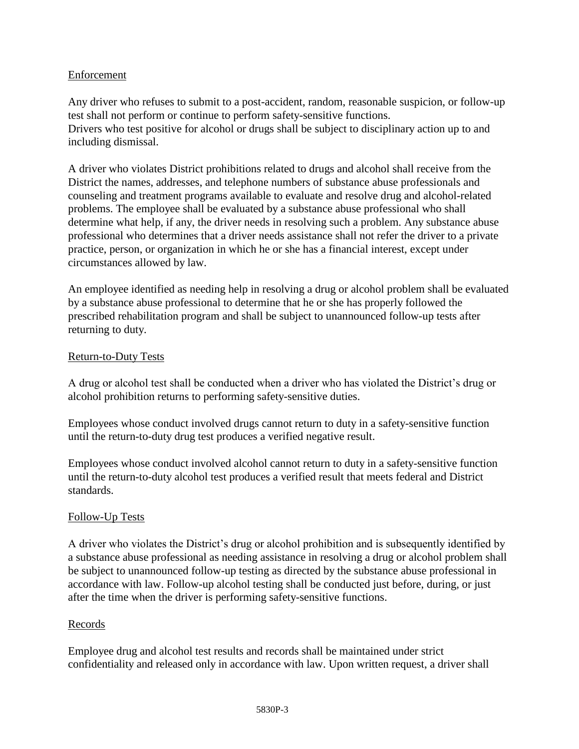### Enforcement

Any driver who refuses to submit to a post-accident, random, reasonable suspicion, or follow-up test shall not perform or continue to perform safety-sensitive functions. Drivers who test positive for alcohol or drugs shall be subject to disciplinary action up to and including dismissal.

A driver who violates District prohibitions related to drugs and alcohol shall receive from the District the names, addresses, and telephone numbers of substance abuse professionals and counseling and treatment programs available to evaluate and resolve drug and alcohol-related problems. The employee shall be evaluated by a substance abuse professional who shall determine what help, if any, the driver needs in resolving such a problem. Any substance abuse professional who determines that a driver needs assistance shall not refer the driver to a private practice, person, or organization in which he or she has a financial interest, except under circumstances allowed by law.

An employee identified as needing help in resolving a drug or alcohol problem shall be evaluated by a substance abuse professional to determine that he or she has properly followed the prescribed rehabilitation program and shall be subject to unannounced follow-up tests after returning to duty.

#### Return-to-Duty Tests

A drug or alcohol test shall be conducted when a driver who has violated the District's drug or alcohol prohibition returns to performing safety-sensitive duties.

Employees whose conduct involved drugs cannot return to duty in a safety-sensitive function until the return-to-duty drug test produces a verified negative result.

Employees whose conduct involved alcohol cannot return to duty in a safety-sensitive function until the return-to-duty alcohol test produces a verified result that meets federal and District standards.

#### Follow-Up Tests

A driver who violates the District's drug or alcohol prohibition and is subsequently identified by a substance abuse professional as needing assistance in resolving a drug or alcohol problem shall be subject to unannounced follow-up testing as directed by the substance abuse professional in accordance with law. Follow-up alcohol testing shall be conducted just before, during, or just after the time when the driver is performing safety-sensitive functions.

#### Records

Employee drug and alcohol test results and records shall be maintained under strict confidentiality and released only in accordance with law. Upon written request, a driver shall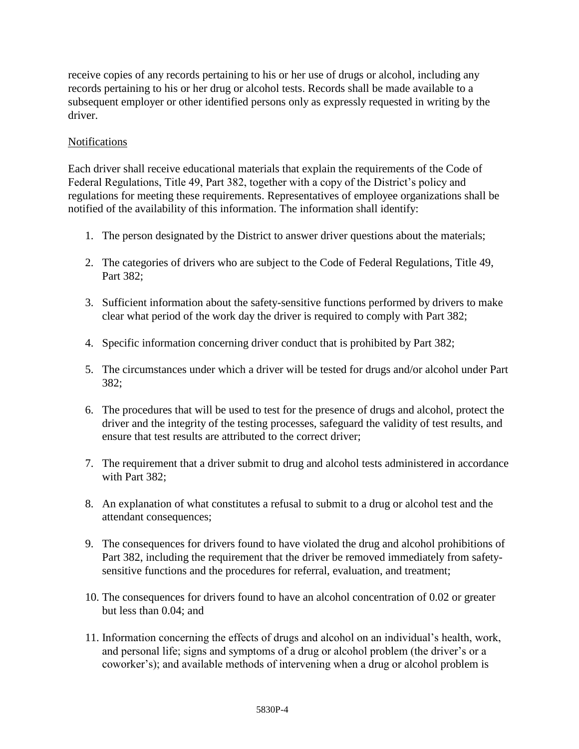receive copies of any records pertaining to his or her use of drugs or alcohol, including any records pertaining to his or her drug or alcohol tests. Records shall be made available to a subsequent employer or other identified persons only as expressly requested in writing by the driver.

## Notifications

Each driver shall receive educational materials that explain the requirements of the Code of Federal Regulations, Title 49, Part 382, together with a copy of the District's policy and regulations for meeting these requirements. Representatives of employee organizations shall be notified of the availability of this information. The information shall identify:

- 1. The person designated by the District to answer driver questions about the materials;
- 2. The categories of drivers who are subject to the Code of Federal Regulations, Title 49, Part 382;
- 3. Sufficient information about the safety-sensitive functions performed by drivers to make clear what period of the work day the driver is required to comply with Part 382;
- 4. Specific information concerning driver conduct that is prohibited by Part 382;
- 5. The circumstances under which a driver will be tested for drugs and/or alcohol under Part 382;
- 6. The procedures that will be used to test for the presence of drugs and alcohol, protect the driver and the integrity of the testing processes, safeguard the validity of test results, and ensure that test results are attributed to the correct driver;
- 7. The requirement that a driver submit to drug and alcohol tests administered in accordance with Part 382;
- 8. An explanation of what constitutes a refusal to submit to a drug or alcohol test and the attendant consequences;
- 9. The consequences for drivers found to have violated the drug and alcohol prohibitions of Part 382, including the requirement that the driver be removed immediately from safetysensitive functions and the procedures for referral, evaluation, and treatment;
- 10. The consequences for drivers found to have an alcohol concentration of 0.02 or greater but less than 0.04; and
- 11. Information concerning the effects of drugs and alcohol on an individual's health, work, and personal life; signs and symptoms of a drug or alcohol problem (the driver's or a coworker's); and available methods of intervening when a drug or alcohol problem is